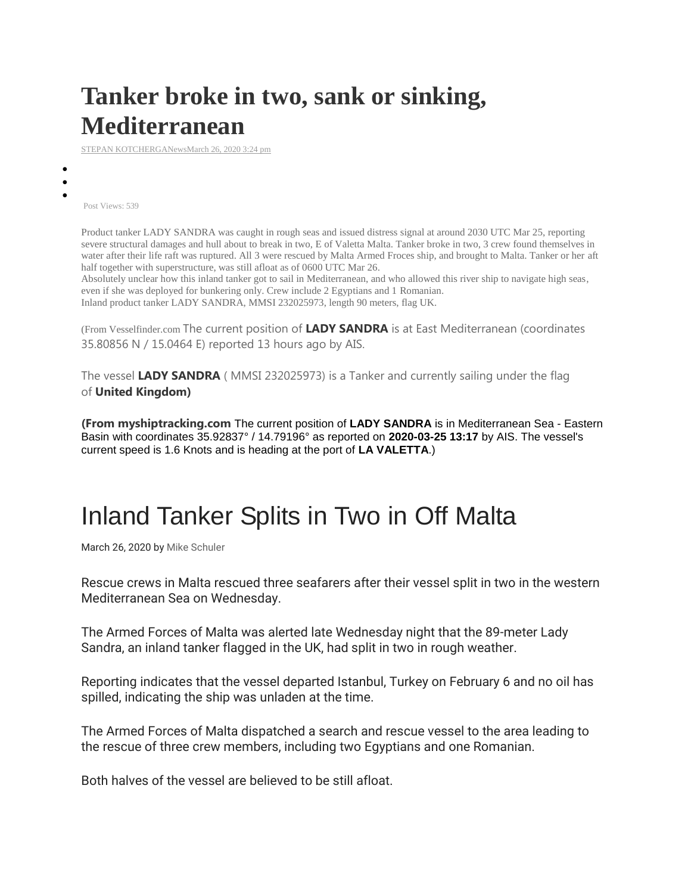## **Tanker broke in two, sank or sinking, Mediterranean**

[STEPAN KOTCHERGANews](https://www.maritimebulletin.net/author/stepan-kotcherga/)[March 26, 2020 3:24 pm](https://www.maritimebulletin.net/2020/03/26/tanker-broke-in-two-sank-or-sinking-mediterranean/)

**[Facebook](https://www.maritimebulletin.net/2020/03/26/tanker-broke-in-two-sank-or-sinking-mediterranean/)**

**[Tweet](https://www.maritimebulletin.net/2020/03/26/tanker-broke-in-two-sank-or-sinking-mediterranean/)er** 

**[Google+](https://www.maritimebulletin.net/2020/03/26/tanker-broke-in-two-sank-or-sinking-mediterranean/)** Post Views: 539

> Product tanker LADY SANDRA was caught in rough seas and issued distress signal at around 2030 UTC Mar 25, reporting severe structural damages and hull about to break in two, E of Valetta Malta. Tanker broke in two, 3 crew found themselves in water after their life raft was ruptured. All 3 were rescued by Malta Armed Froces ship, and brought to Malta. Tanker or her aft half together with superstructure, was still afloat as of 0600 UTC Mar 26.

Absolutely unclear how this inland tanker got to sail in Mediterranean, and who allowed this river ship to navigate high seas, even if she was deployed for bunkering only. Crew include 2 Egyptians and 1 Romanian. Inland product tanker LADY SANDRA, MMSI 232025973, length 90 meters, flag UK.

(From Vesselfinder.com The current position of **LADY SANDRA** is at East Mediterranean (coordinates 35.80856 N / 15.0464 E) reported 13 hours ago by AIS.

The vessel **LADY SANDRA** ( MMSI 232025973) is a Tanker and currently sailing under the flag of **United Kingdom)**

**(From myshiptracking.com** The current position of **LADY SANDRA** is in Mediterranean Sea - Eastern Basin with coordinates 35.92837° / 14.79196° as reported on **2020-03-25 13:17** by AIS. The vessel's current speed is 1.6 Knots and is heading at the port of **LA VALETTA**.)

## Inland Tanker Splits in Two in Off Malta

March 26, 2020 by [Mike Schuler](https://gcaptain.com/author/mike/)

Rescue crews in Malta rescued three seafarers after their vessel split in two in the western Mediterranean Sea on Wednesday.

The Armed Forces of Malta was alerted late Wednesday night that the 89-meter Lady Sandra, an inland tanker flagged in the UK, had split in two in rough weather.

Reporting indicates that the vessel departed Istanbul, Turkey on February 6 and no oil has spilled, indicating the ship was unladen at the time.

The Armed Forces of Malta dispatched a search and rescue vessel to the area leading to the rescue of three crew members, including two Egyptians and one Romanian.

Both halves of the vessel are believed to be still afloat.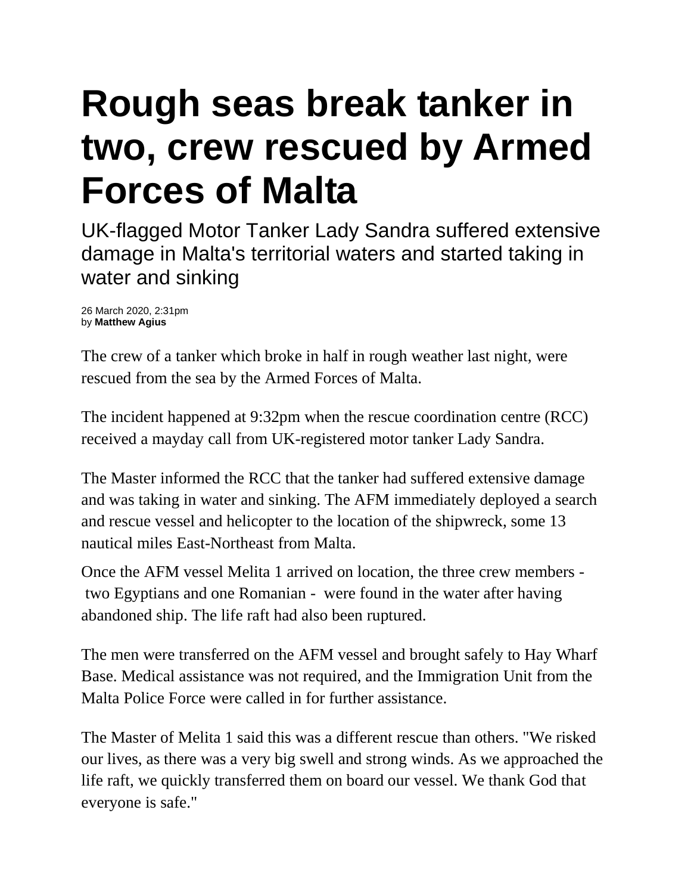## **Rough seas break tanker in two, crew rescued by Armed Forces of Malta**

UK-flagged Motor Tanker Lady Sandra suffered extensive damage in Malta's territorial waters and started taking in water and sinking

26 March 2020, 2:31pm by **Matthew Agius**

The crew of a tanker which broke in half in rough weather last night, were rescued from the sea by the Armed Forces of Malta.

The incident happened at 9:32pm when the rescue coordination centre (RCC) received a mayday call from UK-registered motor tanker Lady Sandra.

The Master informed the RCC that the tanker had suffered extensive damage and was taking in water and sinking. The AFM immediately deployed a search and rescue vessel and helicopter to the location of the shipwreck, some 13 nautical miles East-Northeast from Malta.

Once the AFM vessel Melita 1 arrived on location, the three crew members two Egyptians and one Romanian - were found in the water after having abandoned ship. The life raft had also been ruptured.

The men were transferred on the AFM vessel and brought safely to Hay Wharf Base. Medical assistance was not required, and the Immigration Unit from the Malta Police Force were called in for further assistance.

The Master of Melita 1 said this was a different rescue than others. "We risked our lives, as there was a very big swell and strong winds. As we approached the life raft, we quickly transferred them on board our vessel. We thank God that everyone is safe."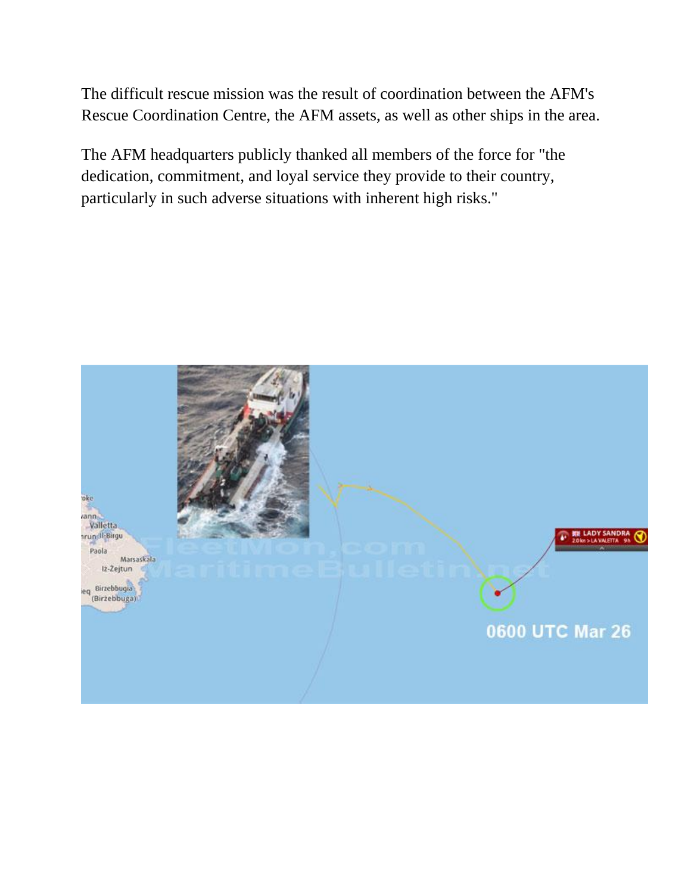The difficult rescue mission was the result of coordination between the AFM's Rescue Coordination Centre, the AFM assets, as well as other ships in the area.

The AFM headquarters publicly thanked all members of the force for "the dedication, commitment, and loyal service they provide to their country, particularly in such adverse situations with inherent high risks."